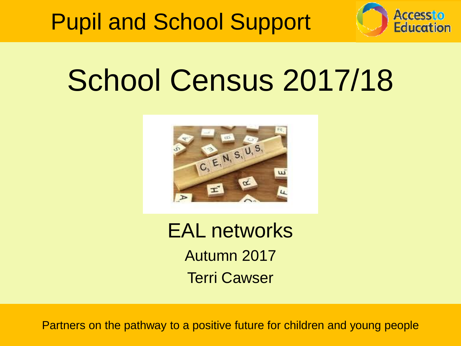



### School Census 2017/18



EAL networks Autumn 2017 Terri Cawser

Partners on the pathway to a positive future for children and young people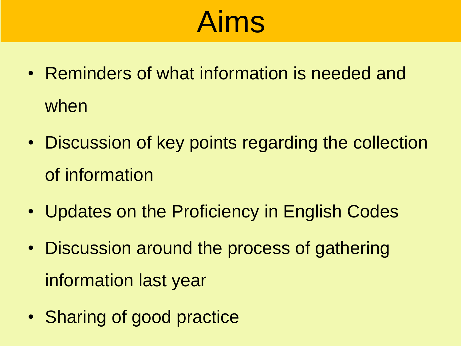### Aims

- Reminders of what information is needed and when
- Discussion of key points regarding the collection of information
- Updates on the Proficiency in English Codes
- Discussion around the process of gathering information last year
- Sharing of good practice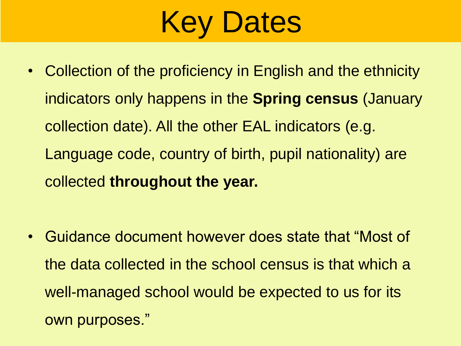## Key Dates

• Collection of the proficiency in English and the ethnicity indicators only happens in the **Spring census** (January collection date). All the other EAL indicators (e.g. Language code, country of birth, pupil nationality) are collected **throughout the year.** 

• Guidance document however does state that "Most of the data collected in the school census is that which a well-managed school would be expected to us for its own purposes."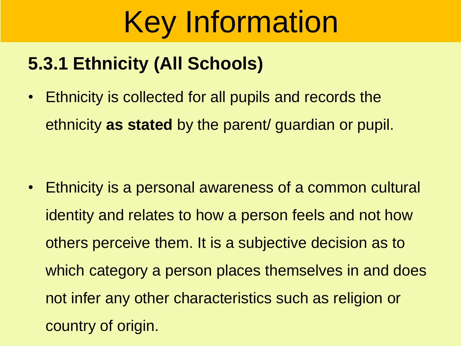### **5.3.1 Ethnicity (All Schools)**

• Ethnicity is collected for all pupils and records the ethnicity **as stated** by the parent/ guardian or pupil.

• Ethnicity is a personal awareness of a common cultural identity and relates to how a person feels and not how others perceive them. It is a subjective decision as to which category a person places themselves in and does not infer any other characteristics such as religion or country of origin.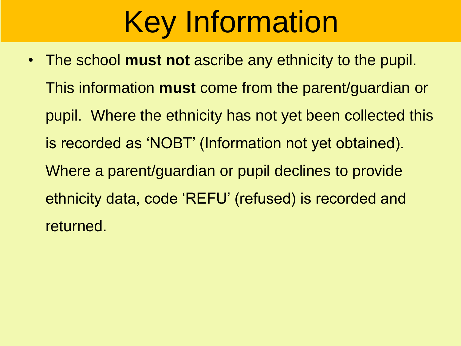• The school **must not** ascribe any ethnicity to the pupil. This information **must** come from the parent/guardian or pupil. Where the ethnicity has not yet been collected this is recorded as 'NOBT' (Information not yet obtained). Where a parent/guardian or pupil declines to provide ethnicity data, code 'REFU' (refused) is recorded and returned.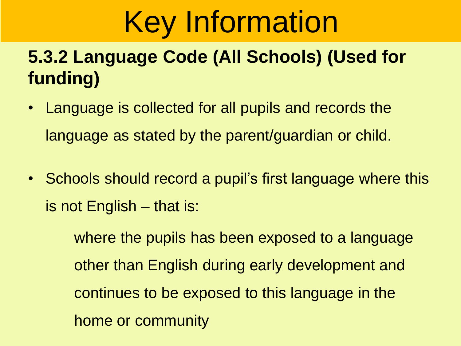### **5.3.2 Language Code (All Schools) (Used for funding)**

- Language is collected for all pupils and records the language as stated by the parent/guardian or child.
- Schools should record a pupil's first language where this is not English – that is:

where the pupils has been exposed to a language other than English during early development and continues to be exposed to this language in the home or community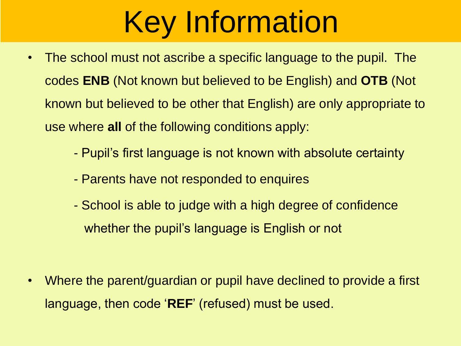- The school must not ascribe a specific language to the pupil. The codes **ENB** (Not known but believed to be English) and **OTB** (Not known but believed to be other that English) are only appropriate to use where **all** of the following conditions apply:
	- Pupil's first language is not known with absolute certainty
	- Parents have not responded to enquires
	- School is able to judge with a high degree of confidence whether the pupil's language is English or not

• Where the parent/guardian or pupil have declined to provide a first language, then code '**REF**' (refused) must be used.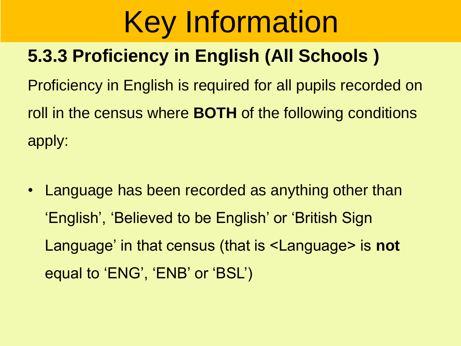### **5.3.3 Proficiency in English (All Schools )**

Proficiency in English is required for all pupils recorded on roll in the census where **BOTH** of the following conditions apply:

• Language has been recorded as anything other than 'English', 'Believed to be English' or 'British Sign Language' in that census (that is <Language> is **not**  equal to 'ENG', 'ENB' or 'BSL')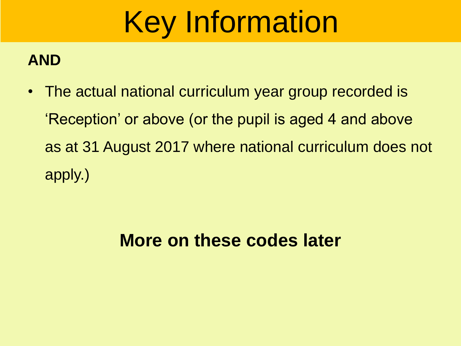#### **AND**

• The actual national curriculum year group recorded is 'Reception' or above (or the pupil is aged 4 and above as at 31 August 2017 where national curriculum does not apply.)

#### **More on these codes later**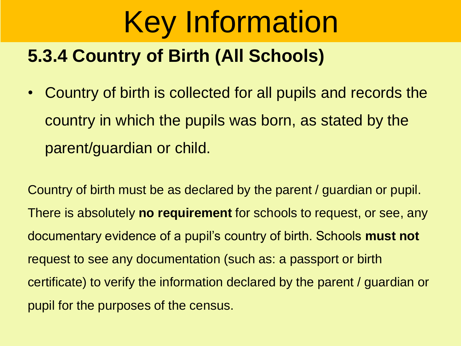### **5.3.4 Country of Birth (All Schools)**

• Country of birth is collected for all pupils and records the country in which the pupils was born, as stated by the parent/guardian or child.

Country of birth must be as declared by the parent / guardian or pupil. There is absolutely **no requirement** for schools to request, or see, any documentary evidence of a pupil's country of birth. Schools **must not**  request to see any documentation (such as: a passport or birth certificate) to verify the information declared by the parent / guardian or pupil for the purposes of the census.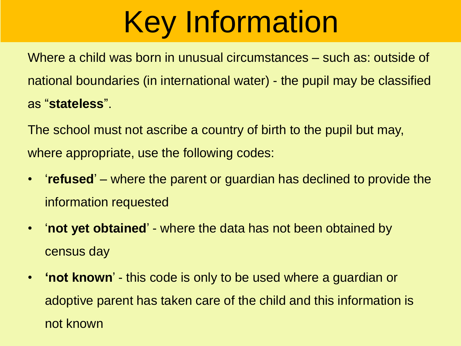Where a child was born in unusual circumstances – such as: outside of national boundaries (in international water) - the pupil may be classified as "**stateless**".

The school must not ascribe a country of birth to the pupil but may, where appropriate, use the following codes:

- $\bullet$ '**refused**' – where the parent or guardian has declined to provide the information requested
- '**not yet obtained**' - where the data has not been obtained by census day
- **'not known**' this code is only to be used where a guardian or adoptive parent has taken care of the child and this information is not known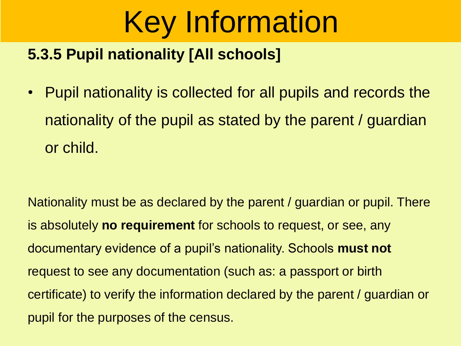#### **5.3.5 Pupil nationality [All schools]**

• Pupil nationality is collected for all pupils and records the nationality of the pupil as stated by the parent / guardian or child.

Nationality must be as declared by the parent / guardian or pupil. There is absolutely **no requirement** for schools to request, or see, any documentary evidence of a pupil's nationality. Schools **must not**  request to see any documentation (such as: a passport or birth certificate) to verify the information declared by the parent / guardian or pupil for the purposes of the census.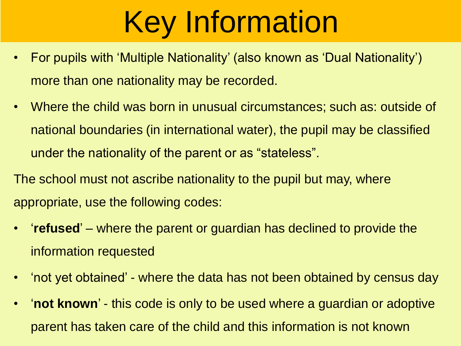- For pupils with 'Multiple Nationality' (also known as 'Dual Nationality') more than one nationality may be recorded.
- Where the child was born in unusual circumstances; such as: outside of national boundaries (in international water), the pupil may be classified under the nationality of the parent or as "stateless".
- The school must not ascribe nationality to the pupil but may, where appropriate, use the following codes:
- $\bullet$ '**refused**' – where the parent or guardian has declined to provide the information requested
- 'not yet obtained' where the data has not been obtained by census day
- $\bullet$ '**not known**' - this code is only to be used where a guardian or adoptive parent has taken care of the child and this information is not known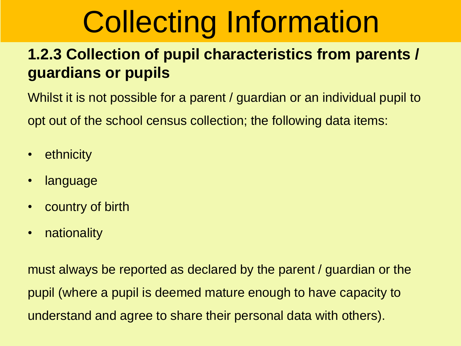#### **1.2.3 Collection of pupil characteristics from parents / guardians or pupils**

Whilst it is not possible for a parent / guardian or an individual pupil to opt out of the school census collection; the following data items:

- ethnicity
- language
- country of birth
- nationality

must always be reported as declared by the parent / guardian or the pupil (where a pupil is deemed mature enough to have capacity to understand and agree to share their personal data with others).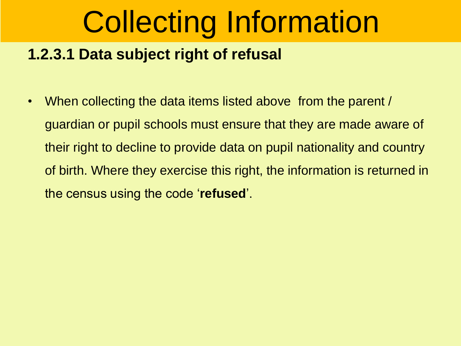#### **1.2.3.1 Data subject right of refusal**

• When collecting the data items listed above from the parent / guardian or pupil schools must ensure that they are made aware of their right to decline to provide data on pupil nationality and country of birth. Where they exercise this right, the information is returned in the census using the code '**refused**'.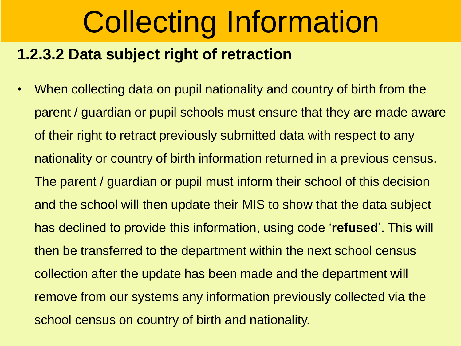#### **1.2.3.2 Data subject right of retraction**

• When collecting data on pupil nationality and country of birth from the parent / guardian or pupil schools must ensure that they are made aware of their right to retract previously submitted data with respect to any nationality or country of birth information returned in a previous census. The parent / guardian or pupil must inform their school of this decision and the school will then update their MIS to show that the data subject has declined to provide this information, using code '**refused**'. This will then be transferred to the department within the next school census collection after the update has been made and the department will remove from our systems any information previously collected via the school census on country of birth and nationality.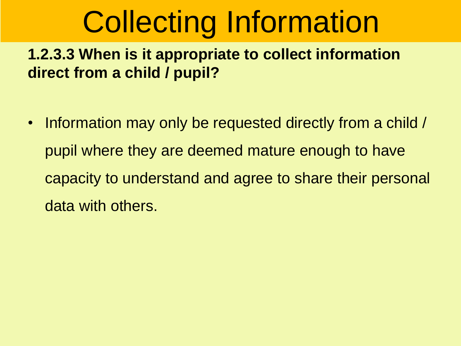**1.2.3.3 When is it appropriate to collect information direct from a child / pupil?**

• Information may only be requested directly from a child / pupil where they are deemed mature enough to have capacity to understand and agree to share their personal data with others.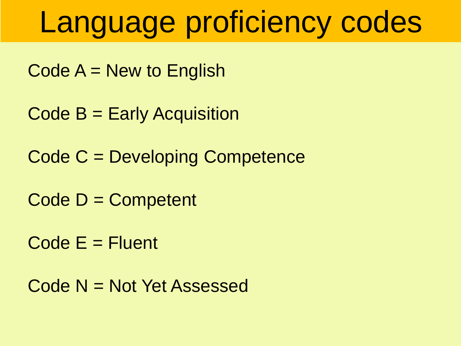### Language proficiency codes

 $Code A = New to English$ 

Code B = Early Acquisition

Code C = Developing Competence

Code D = Competent

 $Code E = Fluent$ 

Code N = Not Yet Assessed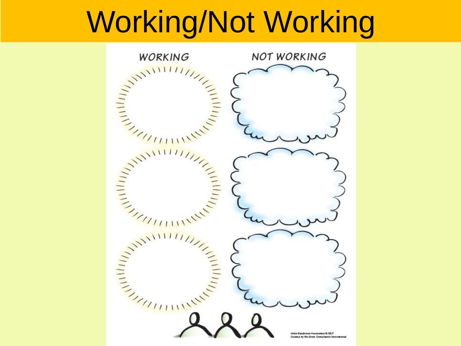### Working/Not Working

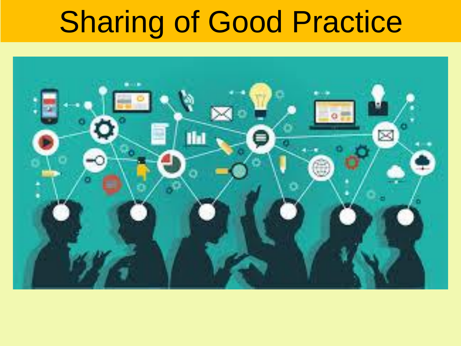### Sharing of Good Practice

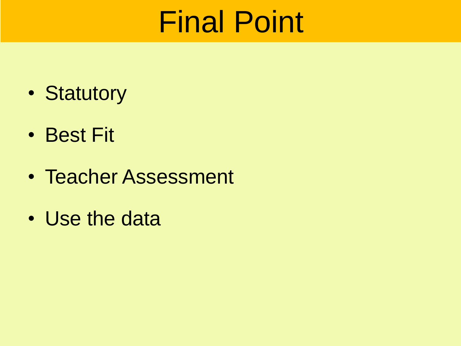### Final Point

- Statutory
- Best Fit
- Teacher Assessment
- Use the data